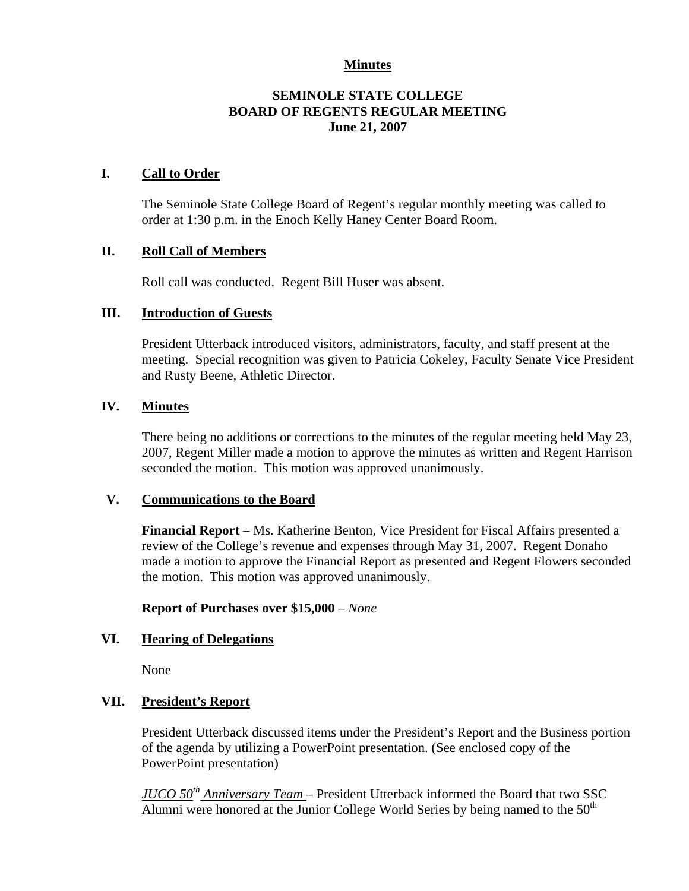## **Minutes**

# **SEMINOLE STATE COLLEGE BOARD OF REGENTS REGULAR MEETING June 21, 2007**

## **I. Call to Order**

The Seminole State College Board of Regent's regular monthly meeting was called to order at 1:30 p.m. in the Enoch Kelly Haney Center Board Room.

# **II. Roll Call of Members**

Roll call was conducted. Regent Bill Huser was absent.

### **III. Introduction of Guests**

President Utterback introduced visitors, administrators, faculty, and staff present at the meeting. Special recognition was given to Patricia Cokeley, Faculty Senate Vice President and Rusty Beene, Athletic Director.

# **IV. Minutes**

There being no additions or corrections to the minutes of the regular meeting held May 23, 2007, Regent Miller made a motion to approve the minutes as written and Regent Harrison seconded the motion. This motion was approved unanimously.

### **V. Communications to the Board**

**Financial Report** – Ms. Katherine Benton, Vice President for Fiscal Affairs presented a review of the College's revenue and expenses through May 31, 2007. Regent Donaho made a motion to approve the Financial Report as presented and Regent Flowers seconded the motion. This motion was approved unanimously.

### **Report of Purchases over \$15,000** – *None*

### **VI. Hearing of Delegations**

None

### **VII. President's Report**

President Utterback discussed items under the President's Report and the Business portion of the agenda by utilizing a PowerPoint presentation. (See enclosed copy of the PowerPoint presentation)

*JUCO 50th Anniversary Team* – President Utterback informed the Board that two SSC Alumni were honored at the Junior College World Series by being named to the  $50<sup>th</sup>$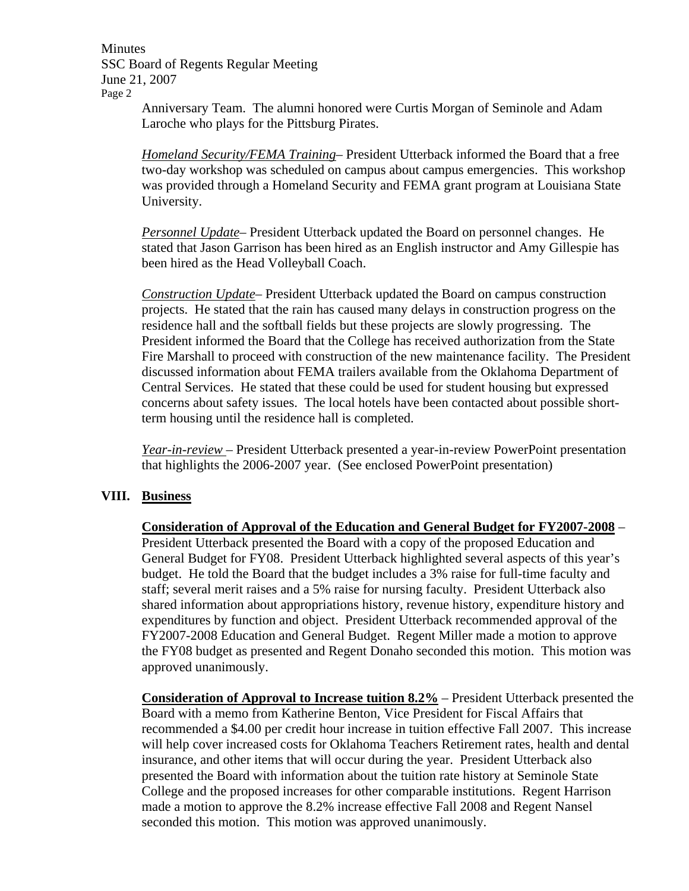Minutes SSC Board of Regents Regular Meeting June 21, 2007 Page 2

Anniversary Team. The alumni honored were Curtis Morgan of Seminole and Adam Laroche who plays for the Pittsburg Pirates.

*Homeland Security/FEMA Training*– President Utterback informed the Board that a free two-day workshop was scheduled on campus about campus emergencies. This workshop was provided through a Homeland Security and FEMA grant program at Louisiana State University.

*Personnel Update*– President Utterback updated the Board on personnel changes. He stated that Jason Garrison has been hired as an English instructor and Amy Gillespie has been hired as the Head Volleyball Coach.

*Construction Update*– President Utterback updated the Board on campus construction projects. He stated that the rain has caused many delays in construction progress on the residence hall and the softball fields but these projects are slowly progressing. The President informed the Board that the College has received authorization from the State Fire Marshall to proceed with construction of the new maintenance facility. The President discussed information about FEMA trailers available from the Oklahoma Department of Central Services. He stated that these could be used for student housing but expressed concerns about safety issues. The local hotels have been contacted about possible shortterm housing until the residence hall is completed.

*Year-in-review* – President Utterback presented a year-in-review PowerPoint presentation that highlights the 2006-2007 year. (See enclosed PowerPoint presentation)

### **VIII. Business**

**Consideration of Approval of the Education and General Budget for FY2007-2008** – President Utterback presented the Board with a copy of the proposed Education and General Budget for FY08. President Utterback highlighted several aspects of this year's budget. He told the Board that the budget includes a 3% raise for full-time faculty and staff; several merit raises and a 5% raise for nursing faculty. President Utterback also shared information about appropriations history, revenue history, expenditure history and expenditures by function and object. President Utterback recommended approval of the FY2007-2008 Education and General Budget. Regent Miller made a motion to approve the FY08 budget as presented and Regent Donaho seconded this motion. This motion was approved unanimously.

**Consideration of Approval to Increase tuition 8.2%** – President Utterback presented the Board with a memo from Katherine Benton, Vice President for Fiscal Affairs that recommended a \$4.00 per credit hour increase in tuition effective Fall 2007. This increase will help cover increased costs for Oklahoma Teachers Retirement rates, health and dental insurance, and other items that will occur during the year. President Utterback also presented the Board with information about the tuition rate history at Seminole State College and the proposed increases for other comparable institutions. Regent Harrison made a motion to approve the 8.2% increase effective Fall 2008 and Regent Nansel seconded this motion. This motion was approved unanimously.